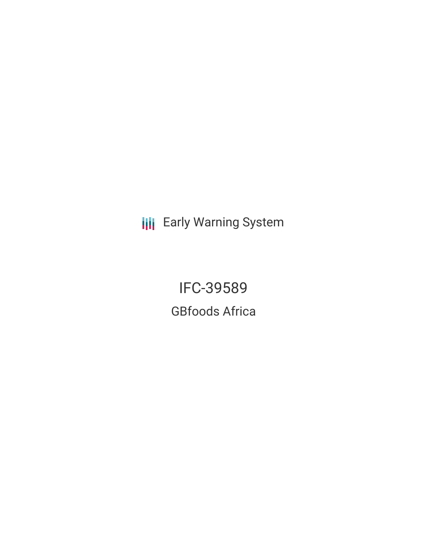**III** Early Warning System

IFC-39589 GBfoods Africa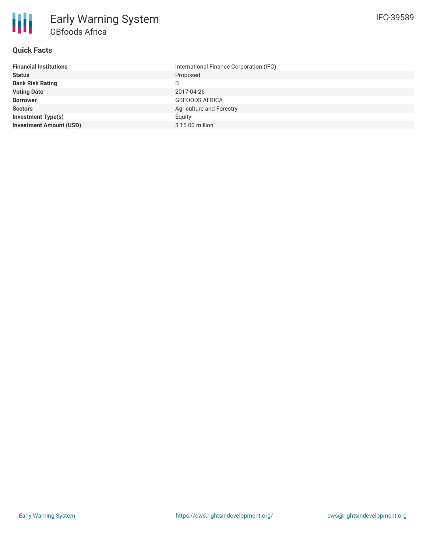

### **Quick Facts**

| <b>Financial Institutions</b>  | International Finance Corporation (IFC) |
|--------------------------------|-----------------------------------------|
| <b>Status</b>                  | Proposed                                |
| <b>Bank Risk Rating</b>        | B                                       |
| <b>Voting Date</b>             | 2017-04-26                              |
| <b>Borrower</b>                | <b>GBFOODS AFRICA</b>                   |
| <b>Sectors</b>                 | Agriculture and Forestry                |
| <b>Investment Type(s)</b>      | Equity                                  |
| <b>Investment Amount (USD)</b> | \$15.00 million                         |
|                                |                                         |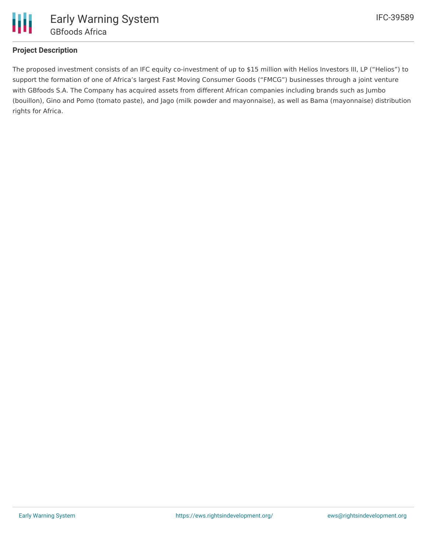

# **Project Description**

The proposed investment consists of an IFC equity co-investment of up to \$15 million with Helios Investors III, LP ("Helios") to support the formation of one of Africa's largest Fast Moving Consumer Goods ("FMCG") businesses through a joint venture with GBfoods S.A. The Company has acquired assets from different African companies including brands such as Jumbo (bouillon), Gino and Pomo (tomato paste), and Jago (milk powder and mayonnaise), as well as Bama (mayonnaise) distribution rights for Africa.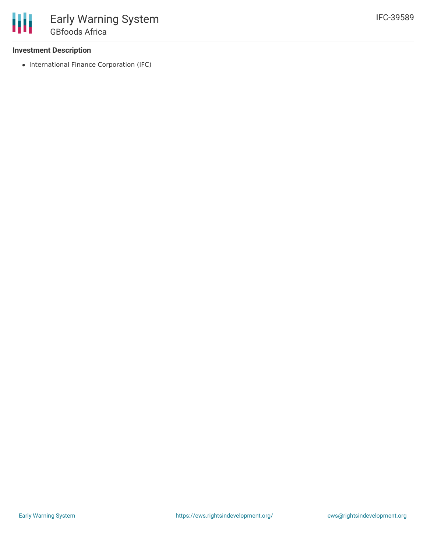## **Investment Description**

• International Finance Corporation (IFC)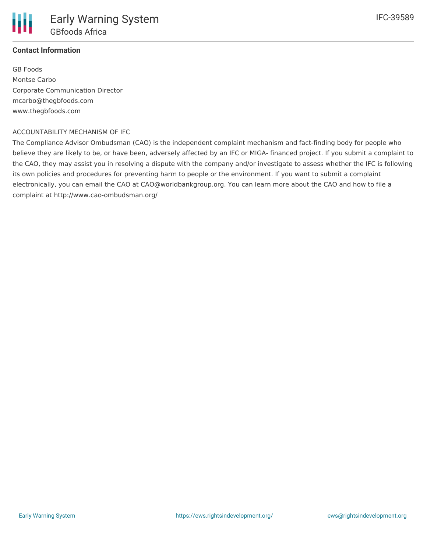

# **Contact Information**

GB Foods Montse Carbo Corporate Communication Director mcarbo@thegbfoods.com www.thegbfoods.com

#### ACCOUNTABILITY MECHANISM OF IFC

The Compliance Advisor Ombudsman (CAO) is the independent complaint mechanism and fact-finding body for people who believe they are likely to be, or have been, adversely affected by an IFC or MIGA- financed project. If you submit a complaint to the CAO, they may assist you in resolving a dispute with the company and/or investigate to assess whether the IFC is following its own policies and procedures for preventing harm to people or the environment. If you want to submit a complaint electronically, you can email the CAO at CAO@worldbankgroup.org. You can learn more about the CAO and how to file a complaint at http://www.cao-ombudsman.org/